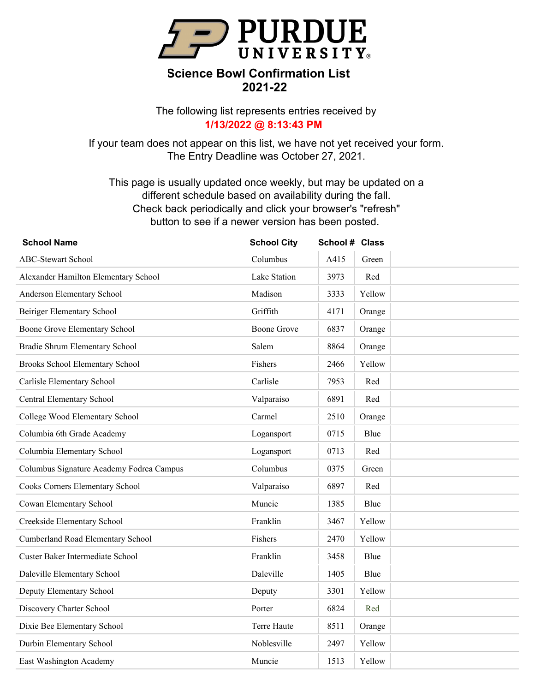

The following list represents entries received by **1/13/2022 @ 8:13:43 PM**

If your team does not appear on this list, we have not yet received your form. The Entry Deadline was October 27, 2021.

| <b>School Name</b>                       | <b>School City</b> | School # Class |        |  |
|------------------------------------------|--------------------|----------------|--------|--|
| <b>ABC-Stewart School</b>                | Columbus           | A415           | Green  |  |
| Alexander Hamilton Elementary School     | Lake Station       | 3973           | Red    |  |
| Anderson Elementary School               | Madison            | 3333           | Yellow |  |
| Beiriger Elementary School               | Griffith           | 4171           | Orange |  |
| Boone Grove Elementary School            | <b>Boone Grove</b> | 6837           | Orange |  |
| Bradie Shrum Elementary School           | Salem              | 8864           | Orange |  |
| Brooks School Elementary School          | Fishers            | 2466           | Yellow |  |
| Carlisle Elementary School               | Carlisle           | 7953           | Red    |  |
| Central Elementary School                | Valparaiso         | 6891           | Red    |  |
| College Wood Elementary School           | Carmel             | 2510           | Orange |  |
| Columbia 6th Grade Academy               | Logansport         | 0715           | Blue   |  |
| Columbia Elementary School               | Logansport         | 0713           | Red    |  |
| Columbus Signature Academy Fodrea Campus | Columbus           | 0375           | Green  |  |
| Cooks Corners Elementary School          | Valparaiso         | 6897           | Red    |  |
| Cowan Elementary School                  | Muncie             | 1385           | Blue   |  |
| Creekside Elementary School              | Franklin           | 3467           | Yellow |  |
| Cumberland Road Elementary School        | Fishers            | 2470           | Yellow |  |
| Custer Baker Intermediate School         | Franklin           | 3458           | Blue   |  |
| Daleville Elementary School              | Daleville          | 1405           | Blue   |  |
| Deputy Elementary School                 | Deputy             | 3301           | Yellow |  |
| Discovery Charter School                 | Porter             | 6824           | Red    |  |
| Dixie Bee Elementary School              | Terre Haute        | 8511           | Orange |  |
| Durbin Elementary School                 | Noblesville        | 2497           | Yellow |  |
| East Washington Academy                  | Muncie             | 1513           | Yellow |  |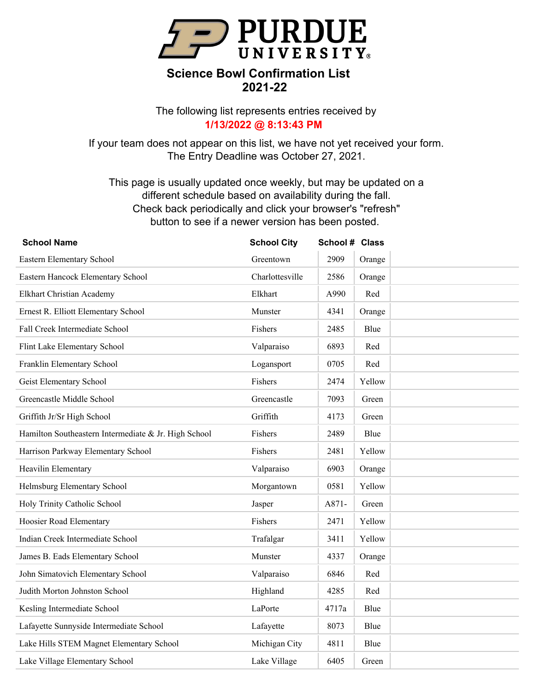

The following list represents entries received by **1/13/2022 @ 8:13:43 PM**

If your team does not appear on this list, we have not yet received your form. The Entry Deadline was October 27, 2021.

| <b>School Name</b>                                   | <b>School City</b> | School # Class |        |  |
|------------------------------------------------------|--------------------|----------------|--------|--|
| Eastern Elementary School                            | Greentown          | 2909           | Orange |  |
| Eastern Hancock Elementary School                    | Charlottesville    | 2586           | Orange |  |
| Elkhart Christian Academy                            | Elkhart            | A990           | Red    |  |
| Ernest R. Elliott Elementary School                  | Munster            | 4341           | Orange |  |
| Fall Creek Intermediate School                       | Fishers            | 2485           | Blue   |  |
| Flint Lake Elementary School                         | Valparaiso         | 6893           | Red    |  |
| Franklin Elementary School                           | Logansport         | 0705           | Red    |  |
| Geist Elementary School                              | Fishers            | 2474           | Yellow |  |
| Greencastle Middle School                            | Greencastle        | 7093           | Green  |  |
| Griffith Jr/Sr High School                           | Griffith           | 4173           | Green  |  |
| Hamilton Southeastern Intermediate & Jr. High School | Fishers            | 2489           | Blue   |  |
| Harrison Parkway Elementary School                   | Fishers            | 2481           | Yellow |  |
| Heavilin Elementary                                  | Valparaiso         | 6903           | Orange |  |
| Helmsburg Elementary School                          | Morgantown         | 0581           | Yellow |  |
| Holy Trinity Catholic School                         | Jasper             | A871-          | Green  |  |
| Hoosier Road Elementary                              | Fishers            | 2471           | Yellow |  |
| Indian Creek Intermediate School                     | Trafalgar          | 3411           | Yellow |  |
| James B. Eads Elementary School                      | Munster            | 4337           | Orange |  |
| John Simatovich Elementary School                    | Valparaiso         | 6846           | Red    |  |
| Judith Morton Johnston School                        | Highland           | 4285           | Red    |  |
| Kesling Intermediate School                          | LaPorte            | 4717a          | Blue   |  |
| Lafayette Sunnyside Intermediate School              | Lafayette          | 8073           | Blue   |  |
| Lake Hills STEM Magnet Elementary School             | Michigan City      | 4811           | Blue   |  |
| Lake Village Elementary School                       | Lake Village       | 6405           | Green  |  |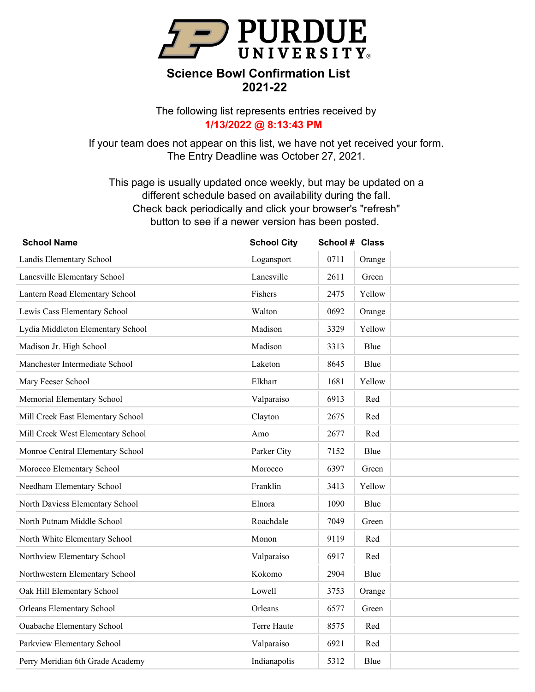

The following list represents entries received by **1/13/2022 @ 8:13:43 PM**

If your team does not appear on this list, we have not yet received your form. The Entry Deadline was October 27, 2021.

| <b>School Name</b>                | <b>School City</b> | School # Class |        |  |
|-----------------------------------|--------------------|----------------|--------|--|
| Landis Elementary School          | Logansport         | 0711           | Orange |  |
| Lanesville Elementary School      | Lanesville         | 2611           | Green  |  |
| Lantern Road Elementary School    | Fishers            | 2475           | Yellow |  |
| Lewis Cass Elementary School      | Walton             | 0692           | Orange |  |
| Lydia Middleton Elementary School | Madison            | 3329           | Yellow |  |
| Madison Jr. High School           | Madison            | 3313           | Blue   |  |
| Manchester Intermediate School    | Laketon            | 8645           | Blue   |  |
| Mary Feeser School                | Elkhart            | 1681           | Yellow |  |
| Memorial Elementary School        | Valparaiso         | 6913           | Red    |  |
| Mill Creek East Elementary School | Clayton            | 2675           | Red    |  |
| Mill Creek West Elementary School | Amo                | 2677           | Red    |  |
| Monroe Central Elementary School  | Parker City        | 7152           | Blue   |  |
| Morocco Elementary School         | Morocco            | 6397           | Green  |  |
| Needham Elementary School         | Franklin           | 3413           | Yellow |  |
| North Daviess Elementary School   | Elnora             | 1090           | Blue   |  |
| North Putnam Middle School        | Roachdale          | 7049           | Green  |  |
| North White Elementary School     | Monon              | 9119           | Red    |  |
| Northview Elementary School       | Valparaiso         | 6917           | Red    |  |
| Northwestern Elementary School    | Kokomo             | 2904           | Blue   |  |
| Oak Hill Elementary School        | Lowell             | 3753           | Orange |  |
| <b>Orleans Elementary School</b>  | Orleans            | 6577           | Green  |  |
| <b>Ouabache Elementary School</b> | Terre Haute        | 8575           | Red    |  |
| Parkview Elementary School        | Valparaiso         | 6921           | Red    |  |
| Perry Meridian 6th Grade Academy  | Indianapolis       | 5312           | Blue   |  |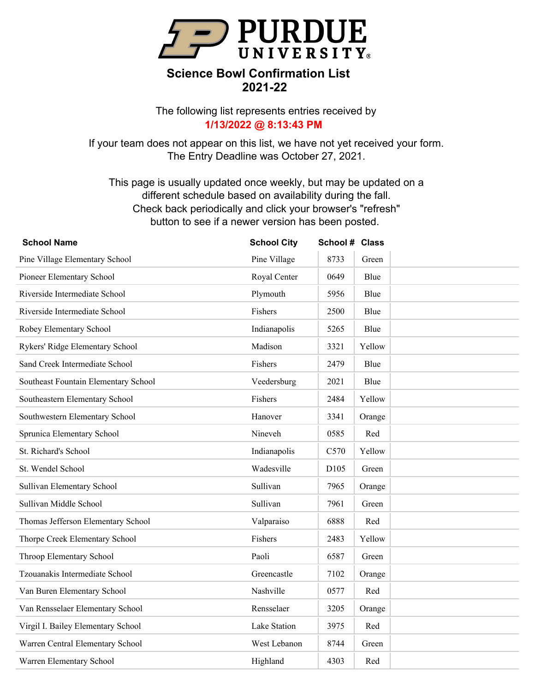

The following list represents entries received by **1/13/2022 @ 8:13:43 PM**

If your team does not appear on this list, we have not yet received your form. The Entry Deadline was October 27, 2021.

| <b>School Name</b>                   | <b>School City</b> | School # Class |        |  |
|--------------------------------------|--------------------|----------------|--------|--|
| Pine Village Elementary School       | Pine Village       | 8733           | Green  |  |
| Pioneer Elementary School            | Royal Center       | 0649           | Blue   |  |
| Riverside Intermediate School        | Plymouth           | 5956           | Blue   |  |
| Riverside Intermediate School        | Fishers            | 2500           | Blue   |  |
| Robey Elementary School              | Indianapolis       | 5265           | Blue   |  |
| Rykers' Ridge Elementary School      | Madison            | 3321           | Yellow |  |
| Sand Creek Intermediate School       | Fishers            | 2479           | Blue   |  |
| Southeast Fountain Elementary School | Veedersburg        | 2021           | Blue   |  |
| Southeastern Elementary School       | Fishers            | 2484           | Yellow |  |
| Southwestern Elementary School       | Hanover            | 3341           | Orange |  |
| Sprunica Elementary School           | Nineveh            | 0585           | Red    |  |
| St. Richard's School                 | Indianapolis       | C570           | Yellow |  |
| St. Wendel School                    | Wadesville         | D105           | Green  |  |
| Sullivan Elementary School           | Sullivan           | 7965           | Orange |  |
| Sullivan Middle School               | Sullivan           | 7961           | Green  |  |
| Thomas Jefferson Elementary School   | Valparaiso         | 6888           | Red    |  |
| Thorpe Creek Elementary School       | Fishers            | 2483           | Yellow |  |
| Throop Elementary School             | Paoli              | 6587           | Green  |  |
| Tzouanakis Intermediate School       | Greencastle        | 7102           | Orange |  |
| Van Buren Elementary School          | Nashville          | 0577           | Red    |  |
| Van Rensselaer Elementary School     | Rensselaer         | 3205           | Orange |  |
| Virgil I. Bailey Elementary School   | Lake Station       | 3975           | Red    |  |
| Warren Central Elementary School     | West Lebanon       | 8744           | Green  |  |
| Warren Elementary School             | Highland           | 4303           | Red    |  |